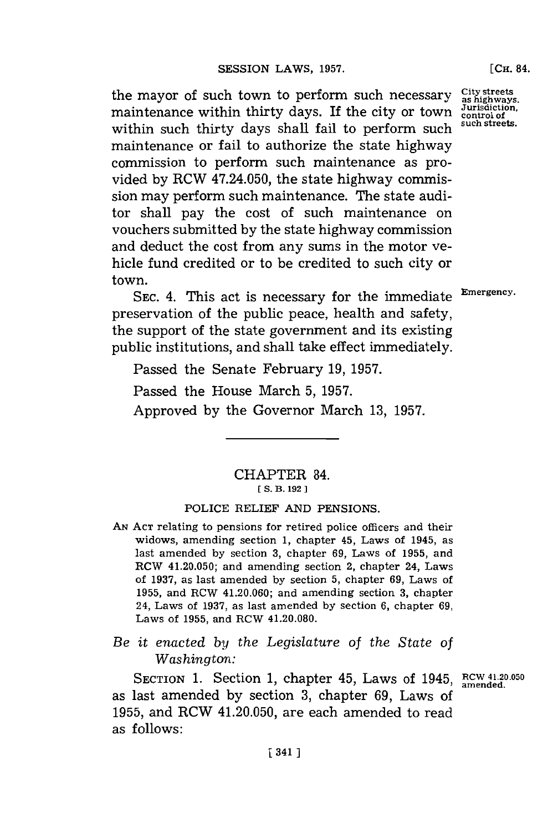the mayor of such town to perform such necessary City streets maintenance within thirty days. If the city or town  $\frac{\overline{Jurfsdiction}}{\text{control of the model}}$ within such thirty days shall fail to perform such maintenance or fail to authorize the state highway commission to perform such maintenance as provided **by** RCW 47.24.050, the state highway commission may perform such maintenance. The state auditor shall pay the cost of such maintenance on vouchers submitted **by** the state highway commission and deduct the cost from any sums in the motor vehicle fund credited or to be credited to such city or town.

**SEC.** 4. This act is necessary for the immediate **Emergency.** preservation of the public peace, health and safety, the support of the state govermnent and its existing public institutions, and shall take effect immediately.

Passed the Senate February **19, 1957.**

Passed the House March **5, 1957.**

Approved **by** the Governor March **13, 1957.**

# CHAPTER 84. **[ S.** B. **192]1**

### POLICE RELIEF **AND PENSIONS.**

- **AN ACT** relating to pensions for retired police officers and their widows, amending section **1,** chapter 45, Laws of 1945, as last amended **by** section **3,** chapter **69, Laws of 1955, and** RCW 41.20.050; and amending section 2, chapter 24, Laws of **1937,** as last amended **by** section **5, chapter 69,** Laws of **1955,** and RCW 41.20.060; and amending section **3,** chapter 24, Laws of **1937,** as last amended **by** section **6,** chapter **69,** Laws of **1955,** and RCW 41.20.080.
- *Be it enacted by the Legislature of the State of Washington:*

SECTION 1. Section 1, chapter 45, Laws of 1945, RCW 41.20.05 as last amended **by** section **3,** chapter **69,** Laws of **1955,** and RCW 41.20.050, are each amended to read as follows: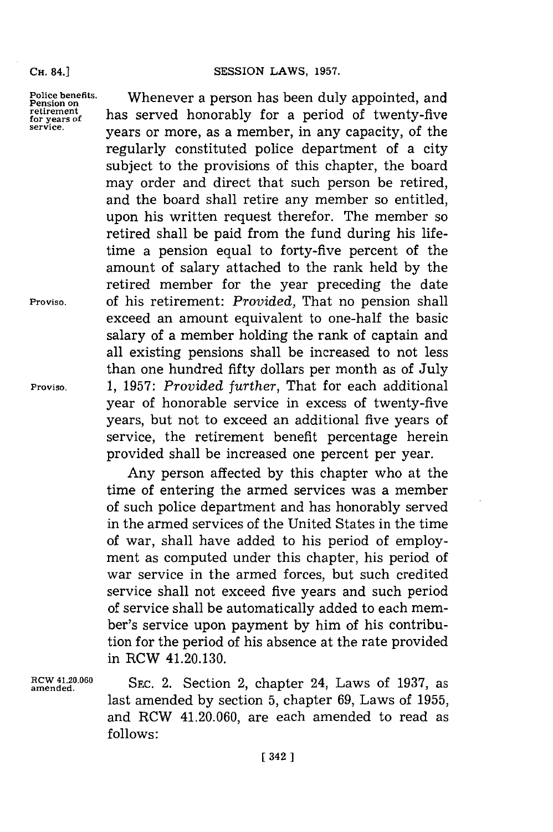#### **SESSION LAWS, 1957.**

**Police benefits. Pension on retirement for years of service.**

Whenever a person has been duly appointed, and has served honorably for a period of twenty-five years or more, as a member, in any capacity, of the regularly constituted police department of a city subject to the provisions of this chapter, the board may order and direct that such person be retired, and the board shall retire any member so entitled, upon his written request therefor. The member so retired shall be paid from the fund during his lifetime a pension equal to forty-five percent of the amount of salary attached to the rank held **by** the retired member for the year preceding the date of his retirement: *Provided,* That no pension shall exceed an amount equivalent to one-half the basic salary of a member holding the rank of captain and all existing pensions shall be increased to not less than one hundred fifty dollars per month as of July **1, 1957:** *Provided further,* That for each additional year of honorable service in excess of twenty-five years, but not to exceed an additional five years of service, the retirement benefit percentage herein provided shall be increased one percent per year.

Any person affected **by** this chapter who at the time of entering the armed services was a member of such police department and has honorably served in the armed services of the United States in the time of war, shall have added to his period of employment as computed under this chapter, his period of war service in the armed forces, but such credited service shall not exceed five years and such period of service shall be automatically added to each member's service upon payment **by** him of his contribution **for** the period of his absence at the rate provided in RCW 41.20.130.

amende..0 **SEC.** 2. Section 2, chapter 24, Laws of **1937,** as last amended **by** section **5,** chapter **69,** Laws of **1955,** and RCW 41.20.060, are each amended to read as **follows:**

**Proviso.**

**Proviso.**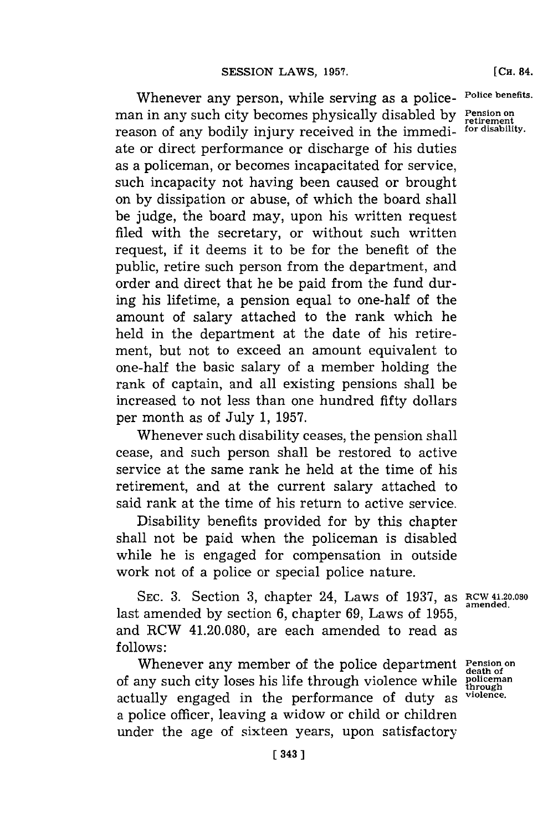Whenever any person, while serving as a policeman in any such city becomes physically disabled **by** reason of any bodily injury received in the immediate or direct performance or discharge of his duties as a policeman, or becomes incapacitated **for** service, such incapacity not having been caused or brought on **by** dissipation or abuse, of which the board shall be judge, the board may, upon his written request filed with the secretary, or without such written request, if it deems it to be for the benefit of the public, retire such person from the department, and order and direct that he be paid from the fund during his lifetime, a pension equal to one-half of the amount of salary attached to the rank which he held in the department at the date of his retirement, but not to exceed an amount equivalent to one-half the basic salary of a member holding the rank of captain, and all existing pensions shall be increased to not less than one hundred fifty dollars per month as of July **1, 1957.**

Whenever such disability ceases, the pension shall cease, and such person shall be restored to active service at the same rank he held at the time of his retirement, and at the current salary attached to said rank at the time of his return to active service.

Disability benefits provided for **by** this chapter shall not be paid when the policeman is disabled while he is engaged for compensation in outside work not of a police or special police nature.

**SEC. 3.** Section **3,** chapter 24, Laws of **1937,** as RCW 41.20.030 last amended **by** section **6,** chapter **69,** Laws of **1955 ,** and RCW 41.20.080, are each amended to read as **f ollows:**

Whenever any member of the police department **Pension on death of** of any such city loses his life through violence while **policeman through** actually engaged in the performance **of** duty as **violence.** a police officer, leaving a widow or child or children under the age of sixteen years, upon satisfactory

**amended.**

**Police benefits.**

**Pension on retirement for disability.**

**[CH.** 84.